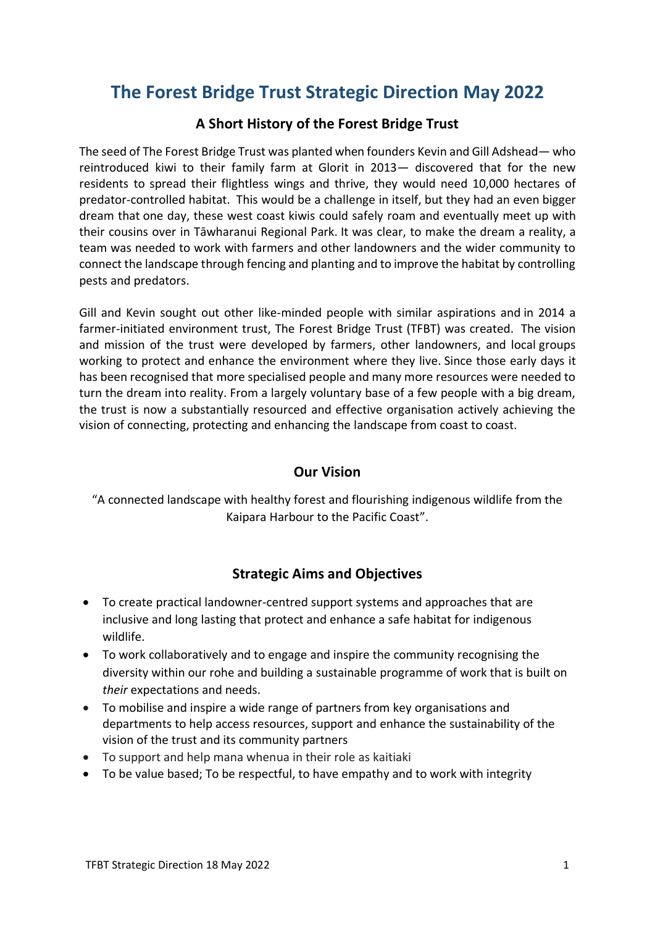# **The Forest Bridge Trust Strategic Direction May 2022**

### **A Short History of the Forest Bridge Trust**

The seed of The Forest Bridge Trust was planted when founders Kevin and Gill Adshead— who reintroduced kiwi to their family farm at Glorit in 2013— discovered that for the new residents to spread their flightless wings and thrive, they would need 10,000 hectares of predator-controlled habitat. This would be a challenge in itself, but they had an even bigger dream that one day, these west coast kiwis could safely roam and eventually meet up with their cousins over in Tāwharanui Regional Park. It was clear, to make the dream a reality, a team was needed to work with farmers and other landowners and the wider community to connect the landscape through fencing and planting and to improve the habitat by controlling pests and predators.

Gill and Kevin sought out other like-minded people with similar aspirations and in 2014 a farmer-initiated environment trust, The Forest Bridge Trust (TFBT) was created. The vision and mission of the trust were developed by farmers, other landowners, and local groups working to protect and enhance the environment where they live. Since those early days it has been recognised that more specialised people and many more resources were needed to turn the dream into reality. From a largely voluntary base of a few people with a big dream, the trust is now a substantially resourced and effective organisation actively achieving the vision of connecting, protecting and enhancing the landscape from coast to coast.

### **Our Vision**

"A connected landscape with healthy forest and flourishing indigenous wildlife from the Kaipara Harbour to the Pacific Coast".

### **Strategic Aims and Objectives**

- To create practical landowner-centred support systems and approaches that are inclusive and long lasting that protect and enhance a safe habitat for indigenous wildlife.
- To work collaboratively and to engage and inspire the community recognising the diversity within our rohe and building a sustainable programme of work that is built on *their* expectations and needs.
- To mobilise and inspire a wide range of partners from key organisations and departments to help access resources, support and enhance the sustainability of the vision of the trust and its community partners
- To support and help mana whenua in their role as kaitiaki
- To be value based; To be respectful, to have empathy and to work with integrity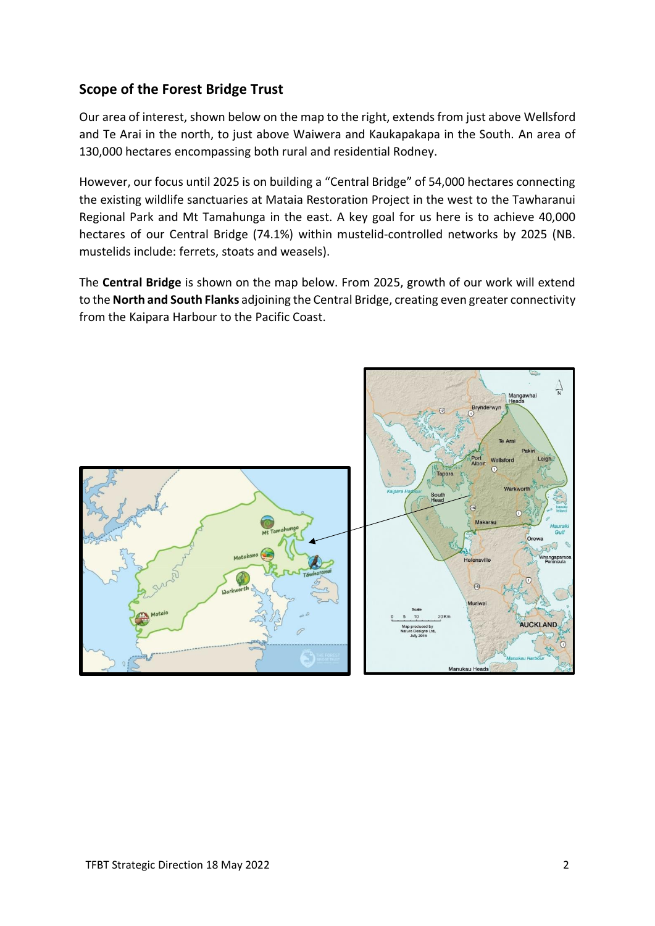# **Scope of the Forest Bridge Trust**

Our area of interest, shown below on the map to the right, extends from just above Wellsford and Te Arai in the north, to just above Waiwera and Kaukapakapa in the South. An area of 130,000 hectares encompassing both rural and residential Rodney.

However, our focus until 2025 is on building a "Central Bridge" of 54,000 hectares connecting the existing wildlife sanctuaries at Mataia Restoration Project in the west to the Tawharanui Regional Park and Mt Tamahunga in the east. A key goal for us here is to achieve 40,000 hectares of our Central Bridge (74.1%) within mustelid-controlled networks by 2025 (NB. mustelids include: ferrets, stoats and weasels).

The **Central Bridge** is shown on the map below. From 2025, growth of our work will extend to the **North and South Flanks** adjoining the Central Bridge, creating even greater connectivity from the Kaipara Harbour to the Pacific Coast.

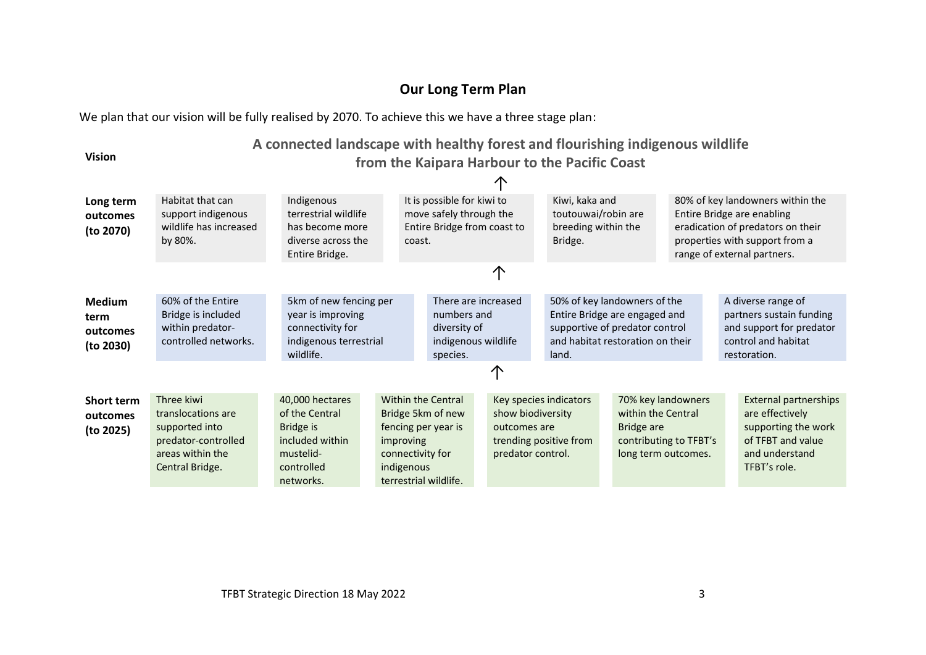# **Our Long Term Plan**

We plan that our vision will be fully realised by 2070. To achieve this we have a three stage plan:

**Vision**

# **A connected landscape with healthy forest and flourishing indigenous wildlife from the Kaipara Harbour to the Pacific Coast**

| Long term<br>outcomes<br>(to 2070)             | Habitat that can<br>support indigenous<br>wildlife has increased<br>by 80%.                                      | Indigenous<br>terrestrial wildlife<br>has become more<br>diverse across the<br>Entire Bridge.             |                         | It is possible for kiwi to<br>move safely through the<br>Entire Bridge from coast to<br>coast.                     |    |              | Kiwi, kaka and<br>toutouwai/robin are<br>breeding within the<br>Bridge.                                                                      |                                  |                                                                     | 80% of key landowners within the<br>Entire Bridge are enabling<br>eradication of predators on their<br>properties with support from a<br>range of external partners. |
|------------------------------------------------|------------------------------------------------------------------------------------------------------------------|-----------------------------------------------------------------------------------------------------------|-------------------------|--------------------------------------------------------------------------------------------------------------------|----|--------------|----------------------------------------------------------------------------------------------------------------------------------------------|----------------------------------|---------------------------------------------------------------------|----------------------------------------------------------------------------------------------------------------------------------------------------------------------|
|                                                |                                                                                                                  |                                                                                                           |                         |                                                                                                                    | ∧  |              |                                                                                                                                              |                                  |                                                                     |                                                                                                                                                                      |
| <b>Medium</b><br>term<br>outcomes<br>(to 2030) | 60% of the Entire<br>Bridge is included<br>within predator-<br>controlled networks.                              | 5km of new fencing per<br>year is improving<br>connectivity for<br>indigenous terrestrial<br>wildlife.    |                         | There are increased<br>numbers and<br>diversity of<br>indigenous wildlife<br>species.                              |    |              | 50% of key landowners of the<br>Entire Bridge are engaged and<br>supportive of predator control<br>and habitat restoration on their<br>land. |                                  |                                                                     | A diverse range of<br>partners sustain funding<br>and support for predator<br>control and habitat<br>restoration.                                                    |
|                                                |                                                                                                                  |                                                                                                           |                         |                                                                                                                    | ∕ጒ |              |                                                                                                                                              |                                  |                                                                     |                                                                                                                                                                      |
| <b>Short term</b><br>outcomes<br>(to 2025)     | Three kiwi<br>translocations are<br>supported into<br>predator-controlled<br>areas within the<br>Central Bridge. | 40,000 hectares<br>of the Central<br>Bridge is<br>included within<br>mustelid-<br>controlled<br>networks. | improving<br>indigenous | <b>Within the Central</b><br>Bridge 5km of new<br>fencing per year is<br>connectivity for<br>terrestrial wildlife. |    | outcomes are | Key species indicators<br>show biodiversity<br>trending positive from<br>predator control.                                                   | within the Central<br>Bridge are | 70% key landowners<br>contributing to TFBT's<br>long term outcomes. | <b>External partnerships</b><br>are effectively<br>supporting the work<br>of TFBT and value<br>and understand<br>TFBT's role.                                        |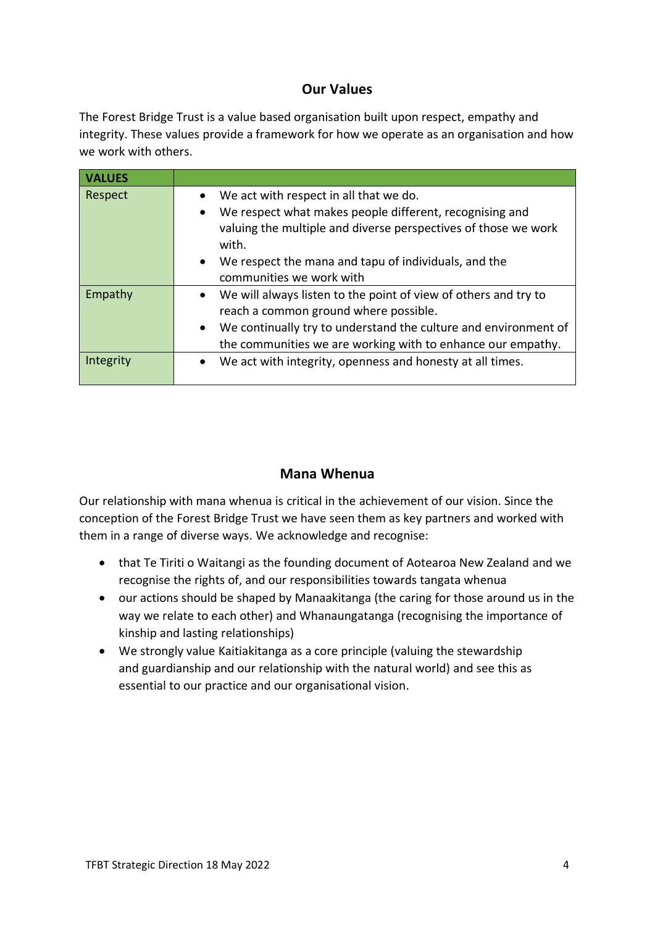### **Our Values**

The Forest Bridge Trust is a value based organisation built upon respect, empathy and integrity. These values provide a framework for how we operate as an organisation and how we work with others.

| <b>VALUES</b>        |                                                                                                                                                                                                                                                                                                                                                |
|----------------------|------------------------------------------------------------------------------------------------------------------------------------------------------------------------------------------------------------------------------------------------------------------------------------------------------------------------------------------------|
| Respect              | We act with respect in all that we do.<br>We respect what makes people different, recognising and<br>$\bullet$<br>valuing the multiple and diverse perspectives of those we work<br>with.<br>We respect the mana and tapu of individuals, and the<br>$\bullet$<br>communities we work with                                                     |
| Empathy<br>Integrity | We will always listen to the point of view of others and try to<br>$\bullet$<br>reach a common ground where possible.<br>We continually try to understand the culture and environment of<br>$\bullet$<br>the communities we are working with to enhance our empathy.<br>We act with integrity, openness and honesty at all times.<br>$\bullet$ |
|                      |                                                                                                                                                                                                                                                                                                                                                |

# **Mana Whenua**

Our relationship with mana whenua is critical in the achievement of our vision. Since the conception of the Forest Bridge Trust we have seen them as key partners and worked with them in a range of diverse ways. We acknowledge and recognise:

- that Te Tiriti o Waitangi as the founding document of Aotearoa New Zealand and we recognise the rights of, and our responsibilities towards tangata whenua
- our actions should be shaped by Manaakitanga (the caring for those around us in the way we relate to each other) and Whanaungatanga (recognising the importance of kinship and lasting relationships)
- We strongly value Kaitiakitanga as a core principle (valuing the stewardship and guardianship and our relationship with the natural world) and see this as essential to our practice and our organisational vision.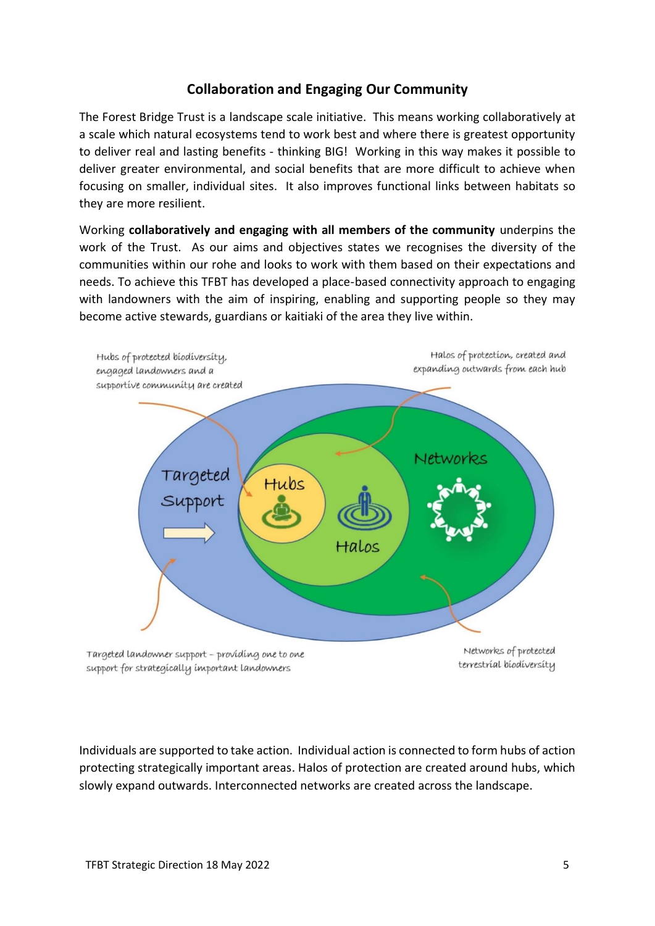## **Collaboration and Engaging Our Community**

The Forest Bridge Trust is a landscape scale initiative. This means working collaboratively at a scale which natural ecosystems tend to work best and where there is greatest opportunity to deliver real and lasting benefits - thinking BIG! Working in this way makes it possible to deliver greater environmental, and social benefits that are more difficult to achieve when focusing on smaller, individual sites. It also improves functional links between habitats so they are more resilient.

Working **collaboratively and engaging with all members of the community** underpins the work of the Trust. As our aims and objectives states we recognises the diversity of the communities within our rohe and looks to work with them based on their expectations and needs. To achieve this TFBT has developed a place-based connectivity approach to engaging with landowners with the aim of inspiring, enabling and supporting people so they may become active stewards, guardians or kaitiaki of the area they live within.



Individuals are supported to take action. Individual action is connected to form hubs of action protecting strategically important areas. Halos of protection are created around hubs, which slowly expand outwards. Interconnected networks are created across the landscape.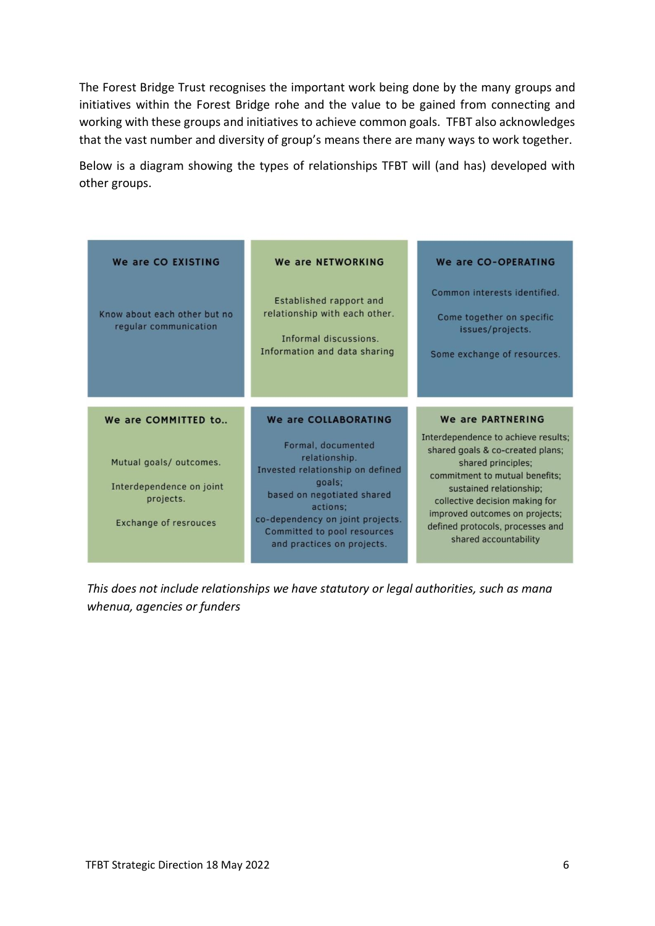The Forest Bridge Trust recognises the important work being done by the many groups and initiatives within the Forest Bridge rohe and the value to be gained from connecting and working with these groups and initiatives to achieve common goals. TFBT also acknowledges that the vast number and diversity of group's means there are many ways to work together.

Below is a diagram showing the types of relationships TFBT will (and has) developed with other groups.

| We are CO EXISTING                                    | We are NETWORKING                                                                                                | We are CO-OPERATING                                                                                          |
|-------------------------------------------------------|------------------------------------------------------------------------------------------------------------------|--------------------------------------------------------------------------------------------------------------|
| Know about each other but no<br>regular communication | Established rapport and<br>relationship with each other.<br>Informal discussions<br>Information and data sharing | Common interests identified.<br>Come together on specific<br>issues/projects.<br>Some exchange of resources. |
| We are COMMITTED to                                   | We are COLLABORATING                                                                                             | We are PARTNERING                                                                                            |
|                                                       |                                                                                                                  |                                                                                                              |

*This does not include relationships we have statutory or legal authorities, such as mana whenua, agencies or funders*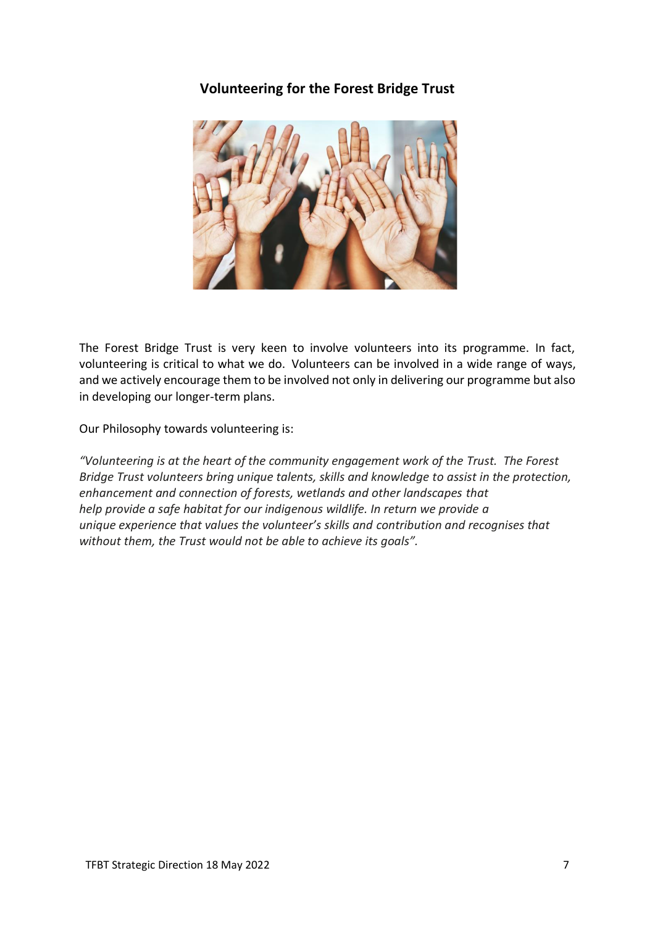### **Volunteering for the Forest Bridge Trust**



The Forest Bridge Trust is very keen to involve volunteers into its programme. In fact, volunteering is critical to what we do. Volunteers can be involved in a wide range of ways, and we actively encourage them to be involved not only in delivering our programme but also in developing our longer-term plans.

Our Philosophy towards volunteering is:

*"Volunteering is at the heart of the community engagement work of the Trust. The Forest Bridge Trust volunteers bring unique talents, skills and knowledge to assist in the protection, enhancement and connection of forests, wetlands and other landscapes that help provide a safe habitat for our indigenous wildlife. In return we provide a unique experience that values the volunteer's skills and contribution and recognises that without them, the Trust would not be able to achieve its goals".*